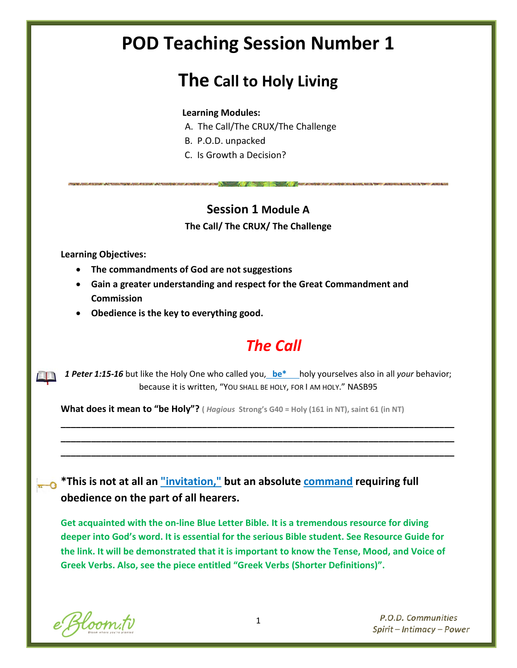# **POD Teaching Session Number 1**

# **The Call to Holy Living**

#### **Learning Modules:**

- A. The Call/The CRUX/The Challenge
- B. P.O.D. unpacked
- C. Is Growth a Decision?

### **Session 1 Module A**

**The Call/ The CRUX/ The Challenge**

**Learning Objectives:**

- **The commandments of God are not suggestions**
- **Gain a greater understanding and respect for the Great Commandment and Commission**
- **Obedience is the key to everything good.**

### *The Call*

*1 Peter 1:15-16* but like the Holy One who called you, **be\*** holy yourselves also in all *your* behavior; because it is written, "YOU SHALL BE HOLY, FOR I AM HOLY." NASB95

**\_\_\_\_\_\_\_\_\_\_\_\_\_\_\_\_\_\_\_\_\_\_\_\_\_\_\_\_\_\_\_\_\_\_\_\_\_\_\_\_\_\_\_\_\_\_\_\_\_\_\_\_\_\_\_\_\_\_\_\_\_\_\_\_\_\_\_\_\_\_\_\_\_\_\_\_\_\_ \_\_\_\_\_\_\_\_\_\_\_\_\_\_\_\_\_\_\_\_\_\_\_\_\_\_\_\_\_\_\_\_\_\_\_\_\_\_\_\_\_\_\_\_\_\_\_\_\_\_\_\_\_\_\_\_\_\_\_\_\_\_\_\_\_\_\_\_\_\_\_\_\_\_\_\_\_\_ \_\_\_\_\_\_\_\_\_\_\_\_\_\_\_\_\_\_\_\_\_\_\_\_\_\_\_\_\_\_\_\_\_\_\_\_\_\_\_\_\_\_\_\_\_\_\_\_\_\_\_\_\_\_\_\_\_\_\_\_\_\_\_\_\_\_\_\_\_\_\_\_\_\_\_\_\_\_**

**What does it mean to "be Holy"? (** *Hagious* **Strong's G40 = Holy (161 in NT), saint 61 (in NT)**

**\*This is not at all an "invitation," but an absolute command requiring full obedience on the part of all hearers.**

**Get acquainted with the on-line Blue Letter Bible. It is a tremendous resource for diving deeper into God's word. It is essential for the serious Bible student. See Resource Guide for the link. It will be demonstrated that it is important to know the Tense, Mood, and Voice of Greek Verbs. Also, see the piece entitled "Greek Verbs (Shorter Definitions)".**

e Bloom.tv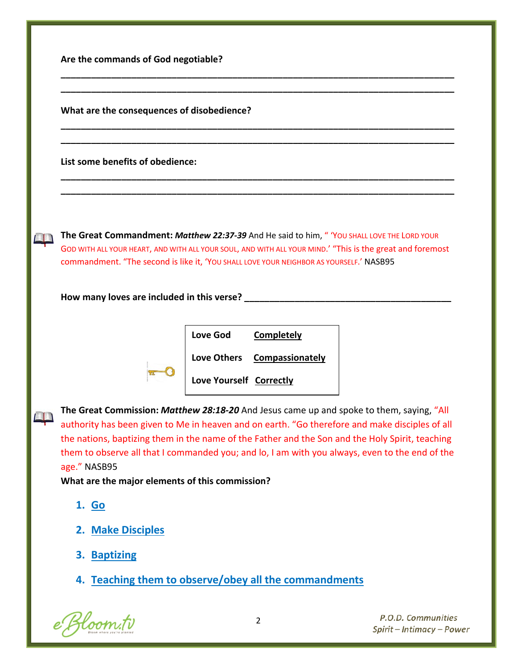| Are the commands of God negotiable?                                                                                                                                                                                                                                                                                                                                    |
|------------------------------------------------------------------------------------------------------------------------------------------------------------------------------------------------------------------------------------------------------------------------------------------------------------------------------------------------------------------------|
| What are the consequences of disobedience?                                                                                                                                                                                                                                                                                                                             |
| List some benefits of obedience:                                                                                                                                                                                                                                                                                                                                       |
| The Great Commandment: Matthew 22:37-39 And He said to him, "YOU SHALL LOVE THE LORD YOUR<br>GOD WITH ALL YOUR HEART, AND WITH ALL YOUR SOUL, AND WITH ALL YOUR MIND.' "This is the great and foremost<br>commandment. "The second is like it, 'YOU SHALL LOVE YOUR NEIGHBOR AS YOURSELF.' NASB95                                                                      |
| How many loves are included in this verse?                                                                                                                                                                                                                                                                                                                             |
| <b>Love God</b><br><b>Completely</b><br>Love Others Compassionately<br>Love Yourself Correctly                                                                                                                                                                                                                                                                         |
| The Great Commission: Matthew 28:18-20 And Jesus came up and spoke to them, saying, "All                                                                                                                                                                                                                                                                               |
| authority has been given to Me in heaven and on earth. "Go therefore and make disciples of all<br>the nations, baptizing them in the name of the Father and the Son and the Holy Spirit, teaching<br>them to observe all that I commanded you; and lo, I am with you always, even to the end of the<br>age." NASB95<br>What are the major elements of this commission? |
| 1. Go                                                                                                                                                                                                                                                                                                                                                                  |
| 2. Make Disciples                                                                                                                                                                                                                                                                                                                                                      |
| 3. Baptizing                                                                                                                                                                                                                                                                                                                                                           |

e Bloom.tv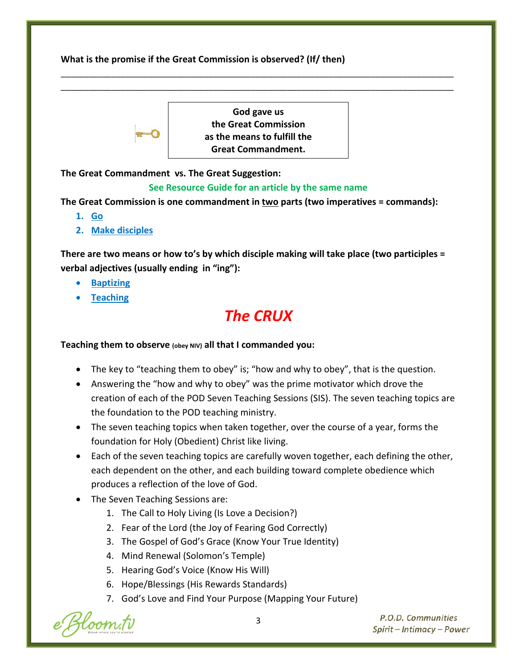**What is the promise if the Great Commission is observed? (If/ then)**



**God gave us the Great Commission as the means to fulfill the Great Commandment.**

\_\_\_\_\_\_\_\_\_\_\_\_\_\_\_\_\_\_\_\_\_\_\_\_\_\_\_\_\_\_\_\_\_\_\_\_\_\_\_\_\_\_\_\_\_\_\_\_\_\_\_\_\_\_\_\_\_\_\_\_\_\_\_\_\_\_\_\_\_\_\_\_\_\_\_\_\_\_\_\_\_\_\_\_\_ \_\_\_\_\_\_\_\_\_\_\_\_\_\_\_\_\_\_\_\_\_\_\_\_\_\_\_\_\_\_\_\_\_\_\_\_\_\_\_\_\_\_\_\_\_\_\_\_\_\_\_\_\_\_\_\_\_\_\_\_\_\_\_\_\_\_\_\_\_\_\_\_\_\_\_\_\_\_\_\_\_\_\_\_\_

**The Great Commandment vs. The Great Suggestion:**

### **See Resource Guide for an article by the same name**

**The Great Commission is one commandment in two parts (two imperatives = commands):**

- **1. Go**
- **2. Make disciples**

**There are two means or how to's by which disciple making will take place (two participles = verbal adjectives (usually ending in "ing"):**

- **Baptizing**
- **Teaching**

## *The CRUX*

#### **Teaching them to observe (obey NIV) all that I commanded you:**

- The key to "teaching them to obey" is; "how and why to obey", that is the question.
- Answering the "how and why to obey" was the prime motivator which drove the creation of each of the POD Seven Teaching Sessions (SIS). The seven teaching topics are the foundation to the POD teaching ministry.
- The seven teaching topics when taken together, over the course of a year, forms the foundation for Holy (Obedient) Christ like living.
- Each of the seven teaching topics are carefully woven together, each defining the other, each dependent on the other, and each building toward complete obedience which produces a reflection of the love of God.
- The Seven Teaching Sessions are:
	- 1. The Call to Holy Living (Is Love a Decision?)
	- 2. Fear of the Lord (the Joy of Fearing God Correctly)
	- 3. The Gospel of God's Grace (Know Your True Identity)
	- 4. Mind Renewal (Solomon's Temple)
	- 5. Hearing God's Voice (Know His Will)
	- 6. Hope/Blessings (His Rewards Standards)
	- 7. God's Love and Find Your Purpose (Mapping Your Future)

Kloom.tv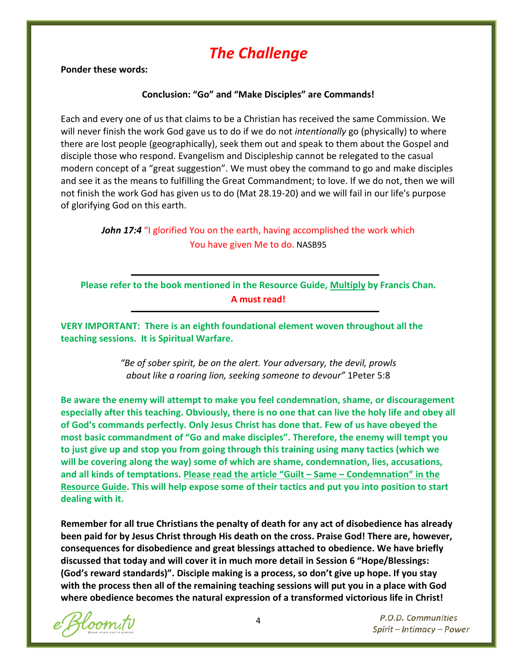### *The Challenge*

**Ponder these words:**

#### **Conclusion: "Go" and "Make Disciples" are Commands!**

Each and every one of us that claims to be a Christian has received the same Commission. We will never finish the work God gave us to do if we do not *intentionally* go (physically) to where there are lost people (geographically), seek them out and speak to them about the Gospel and disciple those who respond. Evangelism and Discipleship cannot be relegated to the casual modern concept of a "great suggestion". We must obey the command to go and make disciples and see it as the means to fulfilling the Great Commandment; to love. If we do not, then we will not finish the work God has given us to do (Mat 28.19-20) and we will fail in our life's purpose of glorifying God on this earth.

### *John 17:4* "I glorified You on the earth, having accomplished the work which You have given Me to do. NASB95

**Please refer to the book mentioned in the Resource Guide, Multiply by Francis Chan. A must read!**

**VERY IMPORTANT: There is an eighth foundational element woven throughout all the teaching sessions. It is Spiritual Warfare.** 

> *"Be of sober spirit, be on the alert. Your adversary, the devil, prowls about like a roaring lion, seeking someone to devour"* 1Peter 5:8

**Be aware the enemy will attempt to make you feel condemnation, shame, or discouragement especially after this teaching. Obviously, there is no one that can live the holy life and obey all of God's commands perfectly. Only Jesus Christ has done that. Few of us have obeyed the most basic commandment of "Go and make disciples". Therefore, the enemy will tempt you to just give up and stop you from going through this training using many tactics (which we will be covering along the way) some of which are shame, condemnation, lies, accusations, and all kinds of temptations. Please read the article "Guilt – Same – Condemnation" in the Resource Guide. This will help expose some of their tactics and put you into position to start dealing with it.**

**Remember for all true Christians the penalty of death for any act of disobedience has already been paid for by Jesus Christ through His death on the cross. Praise God! There are, however, consequences for disobedience and great blessings attached to obedience. We have briefly discussed that today and will cover it in much more detail in Session 6 "Hope/Blessings: (God's reward standards)". Disciple making is a process, so don't give up hope. If you stay with the process then all of the remaining teaching sessions will put you in a place with God where obedience becomes the natural expression of a transformed victorious life in Christ!**

Bloom.tv